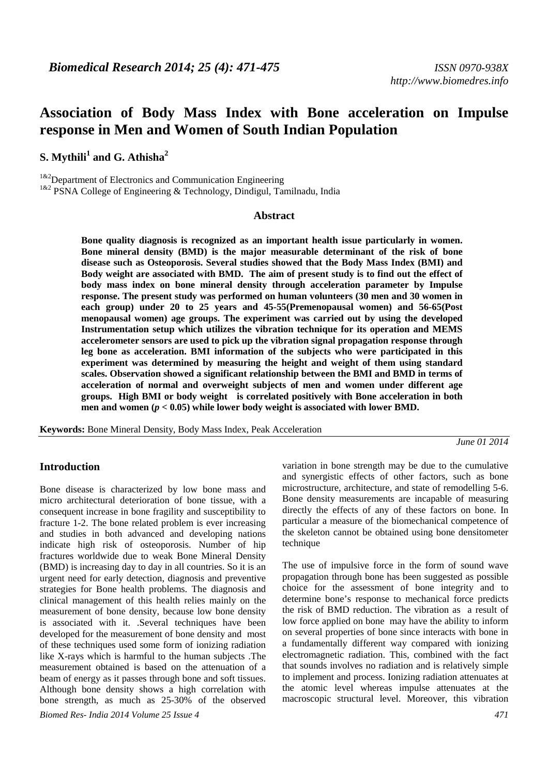# **Association of Body Mass Index with Bone acceleration on Impulse response in Men and Women of South Indian Population**

 $\mathbf{S}.$  Mythili $^1$  and  $\mathbf{G}.$  Athisha $^2$ 

 $1^{k2}$ Department of Electronics and Communication Engineering

<sup>1&2</sup> PSNA College of Engineering & Technology, Dindigul, Tamilnadu, India

#### **Abstract**

**Bone quality diagnosis is recognized as an important health issue particularly in women. Bone mineral density (BMD) is the major measurable determinant of the risk of bone disease such as Osteoporosis. Several studies showed that the Body Mass Index (BMI) and Body weight are associated with BMD. The aim of present study is to find out the effect of body mass index on bone mineral density through acceleration parameter by Impulse response. The present study was performed on human volunteers (30 men and 30 women in each group) under 20 to 25 years and 45-55(Premenopausal women) and 56-65(Post menopausal women) age groups. The experiment was carried out by using the developed Instrumentation setup which utilizes the vibration technique for its operation and MEMS accelerometer sensors are used to pick up the vibration signal propagation response through leg bone as acceleration. BMI information of the subjects who were participated in this experiment was determined by measuring the height and weight of them using standard scales. Observation showed a significant relationship between the BMI and BMD in terms of acceleration of normal and overweight subjects of men and women under different age groups. High BMI or body weight is correlated positively with Bone acceleration in both men and women (***p <* **0.05) while lower body weight is associated with lower BMD.** 

**Keywords:** Bone Mineral Density, Body Mass Index, Peak Acceleration

*June 01 2014* 

### **Introduction**

Bone disease is characterized by low bone mass and micro architectural deterioration of bone tissue, with a consequent increase in bone fragility and susceptibility to fracture 1-2. The bone related problem is ever increasing and studies in both advanced and developing nations indicate high risk of osteoporosis. Number of hip fractures worldwide due to weak Bone Mineral Density (BMD) is increasing day to day in all countries. So it is an urgent need for early detection, diagnosis and preventive strategies for Bone health problems. The diagnosis and clinical management of this health relies mainly on the measurement of bone density, because low bone density is associated with it. .Several techniques have been developed for the measurement of bone density and most of these techniques used some form of ionizing radiation like X-rays which is harmful to the human subjects .The measurement obtained is based on the attenuation of a beam of energy as it passes through bone and soft tissues. Although bone density shows a high correlation with bone strength, as much as 25-30% of the observed

*Biomed Res- India 2014 Volume 25 Issue 4 471*

variation in bone strength may be due to the cumulative and synergistic effects of other factors, such as bone microstructure, architecture, and state of remodelling 5-6. Bone density measurements are incapable of measuring directly the effects of any of these factors on bone. In particular a measure of the biomechanical competence of the skeleton cannot be obtained using bone densitometer technique

The use of impulsive force in the form of sound wave propagation through bone has been suggested as possible choice for the assessment of bone integrity and to determine bone's response to mechanical force predicts the risk of BMD reduction. The vibration as a result of low force applied on bone may have the ability to inform on several properties of bone since interacts with bone in a fundamentally different way compared with ionizing electromagnetic radiation. This, combined with the fact that sounds involves no radiation and is relatively simple to implement and process. Ionizing radiation attenuates at the atomic level whereas impulse attenuates at the macroscopic structural level. Moreover, this vibration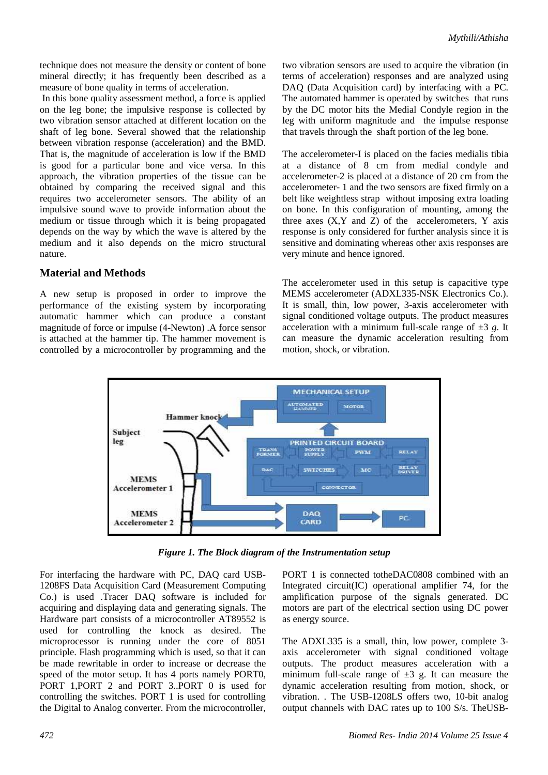technique does not measure the density or content of bone mineral directly; it has frequently been described as a measure of bone quality in terms of acceleration.

 In this bone quality assessment method, a force is applied on the leg bone; the impulsive response is collected by two vibration sensor attached at different location on the shaft of leg bone. Several showed that the relationship between vibration response (acceleration) and the BMD. That is, the magnitude of acceleration is low if the BMD is good for a particular bone and vice versa. In this approach, the vibration properties of the tissue can be obtained by comparing the received signal and this requires two accelerometer sensors. The ability of an impulsive sound wave to provide information about the medium or tissue through which it is being propagated depends on the way by which the wave is altered by the medium and it also depends on the micro structural nature.

### **Material and Methods**

A new setup is proposed in order to improve the performance of the existing system by incorporating automatic hammer which can produce a constant magnitude of force or impulse (4-Newton) .A force sensor is attached at the hammer tip. The hammer movement is controlled by a microcontroller by programming and the two vibration sensors are used to acquire the vibration (in terms of acceleration) responses and are analyzed using DAQ (Data Acquisition card) by interfacing with a PC. The automated hammer is operated by switches that runs by the DC motor hits the Medial Condyle region in the leg with uniform magnitude and the impulse response that travels through the shaft portion of the leg bone.

The accelerometer-I is placed on the facies medialis tibia at a distance of 8 cm from medial condyle and accelerometer-2 is placed at a distance of 20 cm from the accelerometer- 1 and the two sensors are fixed firmly on a belt like weightless strap without imposing extra loading on bone. In this configuration of mounting, among the three axes  $(X, Y, Z)$  of the accelerometers, Y axis response is only considered for further analysis since it is sensitive and dominating whereas other axis responses are very minute and hence ignored.

The accelerometer used in this setup is capacitive type MEMS accelerometer (ADXL335-NSK Electronics Co.). It is small, thin, low power, 3-axis accelerometer with signal conditioned voltage outputs. The product measures acceleration with a minimum full-scale range of  $\pm 3$  g. It can measure the dynamic acceleration resulting from motion, shock, or vibration.



*Figure 1. The Block diagram of the Instrumentation setup* 

For interfacing the hardware with PC, DAQ card USB-1208FS Data Acquisition Card (Measurement Computing Co.) is used .Tracer DAQ software is included for acquiring and displaying data and generating signals. The Hardware part consists of a microcontroller AT89552 is used for controlling the knock as desired. The microprocessor is running under the core of 8051 principle. Flash programming which is used, so that it can be made rewritable in order to increase or decrease the speed of the motor setup. It has 4 ports namely PORT0, PORT 1,PORT 2 and PORT 3..PORT 0 is used for controlling the switches. PORT 1 is used for controlling the Digital to Analog converter. From the microcontroller, PORT 1 is connected totheDAC0808 combined with an Integrated circuit(IC) operational amplifier 74, for the amplification purpose of the signals generated. DC motors are part of the electrical section using DC power as energy source.

The ADXL335 is a small, thin, low power, complete 3 axis accelerometer with signal conditioned voltage outputs. The product measures acceleration with a minimum full-scale range of  $\pm 3$  g. It can measure the dynamic acceleration resulting from motion, shock, or vibration. . The USB-1208LS offers two, 10-bit analog output channels with DAC rates up to 100 S/s. TheUSB-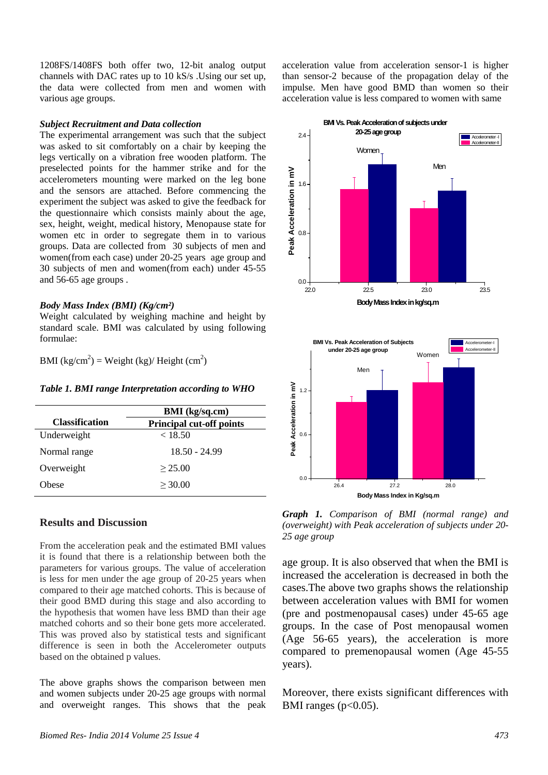1208FS/1408FS both offer two, 12-bit analog output channels with DAC rates up to 10 kS/s .Using our set up, the data were collected from men and women with various age groups.

#### *Subject Recruitment and Data collection*

The experimental arrangement was such that the subject was asked to sit comfortably on a chair by keeping the legs vertically on a vibration free wooden platform. The preselected points for the hammer strike and for the accelerometers mounting were marked on the leg bone and the sensors are attached. Before commencing the experiment the subject was asked to give the feedback for the questionnaire which consists mainly about the age, sex, height, weight, medical history, Menopause state for women etc in order to segregate them in to various groups. Data are collected from 30 subjects of men and women(from each case) under 20-25 years age group and 30 subjects of men and women(from each) under 45-55 and 56-65 age groups .

#### *Body Mass Index (BMI) (Kg/cm²)*

Weight calculated by weighing machine and height by standard scale. BMI was calculated by using following formulae:

BMI  $\frac{kg}{cm^2}$  = Weight  $\frac{kg}{H}$  Height  $\frac{cm^2}{H}$ 

*Table 1. BMI range Interpretation according to WHO* 

|                       | <b>BMI</b> (kg/sq.cm)           |
|-----------------------|---------------------------------|
| <b>Classification</b> | <b>Principal cut-off points</b> |
| Underweight           | < 18.50                         |
| Normal range          | $18.50 - 24.99$                 |
| Overweight            | > 25.00                         |
| Obese                 | > 30.00                         |
|                       |                                 |

## **Results and Discussion**

From the acceleration peak and the estimated BMI values it is found that there is a relationship between both the parameters for various groups. The value of acceleration is less for men under the age group of 20-25 years when compared to their age matched cohorts. This is because of their good BMD during this stage and also according to the hypothesis that women have less BMD than their age matched cohorts and so their bone gets more accelerated. This was proved also by statistical tests and significant difference is seen in both the Accelerometer outputs based on the obtained p values.

The above graphs shows the comparison between men and women subjects under 20-25 age groups with normal and overweight ranges. This shows that the peak acceleration value from acceleration sensor-1 is higher than sensor-2 because of the propagation delay of the impulse. Men have good BMD than women so their acceleration value is less compared to women with same



*Graph 1. Comparison of BMI (normal range) and (overweight) with Peak acceleration of subjects under 20- 25 age group*

age group. It is also observed that when the BMI is increased the acceleration is decreased in both the cases.The above two graphs shows the relationship between acceleration values with BMI for women (pre and postmenopausal cases) under 45-65 age groups. In the case of Post menopausal women (Age 56-65 years), the acceleration is more compared to premenopausal women (Age 45-55 years).

Moreover, there exists significant differences with BMI ranges ( $p<0.05$ ).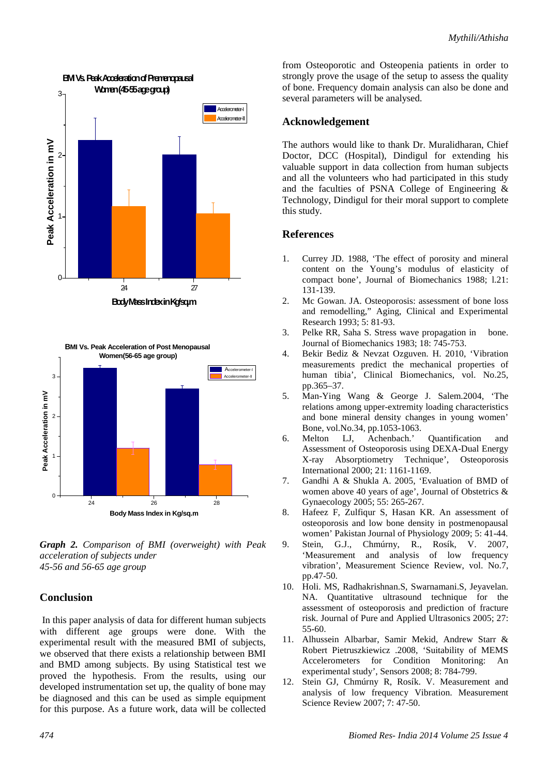



*Graph 2. Comparison of BMI (overweight) with Peak acceleration of subjects under 45-56 and 56-65 age group*

# **Conclusion**

 In this paper analysis of data for different human subjects with different age groups were done. With the experimental result with the measured BMI of subjects, we observed that there exists a relationship between BMI and BMD among subjects. By using Statistical test we proved the hypothesis. From the results, using our developed instrumentation set up, the quality of bone may be diagnosed and this can be used as simple equipment for this purpose. As a future work, data will be collected from Osteoporotic and Osteopenia patients in order to strongly prove the usage of the setup to assess the quality of bone. Frequency domain analysis can also be done and several parameters will be analysed.

## **Acknowledgement**

The authors would like to thank Dr. Muralidharan, Chief Doctor, DCC (Hospital), Dindigul for extending his valuable support in data collection from human subjects and all the volunteers who had participated in this study and the faculties of PSNA College of Engineering & Technology, Dindigul for their moral support to complete this study.

## **References**

- 1. Currey JD. 1988, 'The effect of porosity and mineral content on the Young's modulus of elasticity of compact bone', Journal of Biomechanics 1988; l.21: 131-139.
- 2. Mc Gowan. JA. Osteoporosis: assessment of bone loss and remodelling," Aging, Clinical and Experimental Research 1993; 5: 81-93.
- 3. Pelke RR, Saha S. Stress wave propagation in bone. Journal of Biomechanics 1983; 18: 745-753.
- 4. Bekir Bediz & Nevzat Ozguven. H. 2010, 'Vibration measurements predict the mechanical properties of human tibia', Clinical Biomechanics, vol. No.25, pp.365–37.
- 5. Man-Ying Wang & George J. Salem.2004, 'The relations among upper-extremity loading characteristics and bone mineral density changes in young women' Bone, vol.No.34, pp.1053-1063.
- 6. Melton LJ, Achenbach.' Quantification and Assessment of Osteoporosis using DEXA-Dual Energy X-ray Absorptiometry Technique', Osteoporosis International 2000; 21: 1161-1169.
- 7. Gandhi A & Shukla A. 2005, 'Evaluation of BMD of women above 40 years of age', Journal of Obstetrics & Gynaecology 2005; 55: 265-267.
- 8. Hafeez F, Zulfiqur S, Hasan KR. An assessment of osteoporosis and low bone density in postmenopausal women' Pakistan Journal of Physiology 2009; 5: 41-44.
- 9. Stein, G.J., Chmúrny, R., Rosík, V. 2007, 'Measurement and analysis of low frequency vibration', Measurement Science Review, vol. No.7, pp.47-50.
- 10. Holi. MS, Radhakrishnan.S, Swarnamani.S, Jeyavelan. NA. Quantitative ultrasound technique for the assessment of osteoporosis and prediction of fracture risk. Journal of Pure and Applied Ultrasonics 2005; 27: 55-60.
- 11. Alhussein Albarbar, Samir Mekid, Andrew Starr & Robert Pietruszkiewicz .2008, 'Suitability of MEMS Accelerometers for Condition Monitoring: An experimental study', Sensors 2008; 8: 784-799.
- 12. Stein GJ, Chmúrny R, Rosík. V. Measurement and analysis of low frequency Vibration. Measurement Science Review 2007; 7: 47-50.